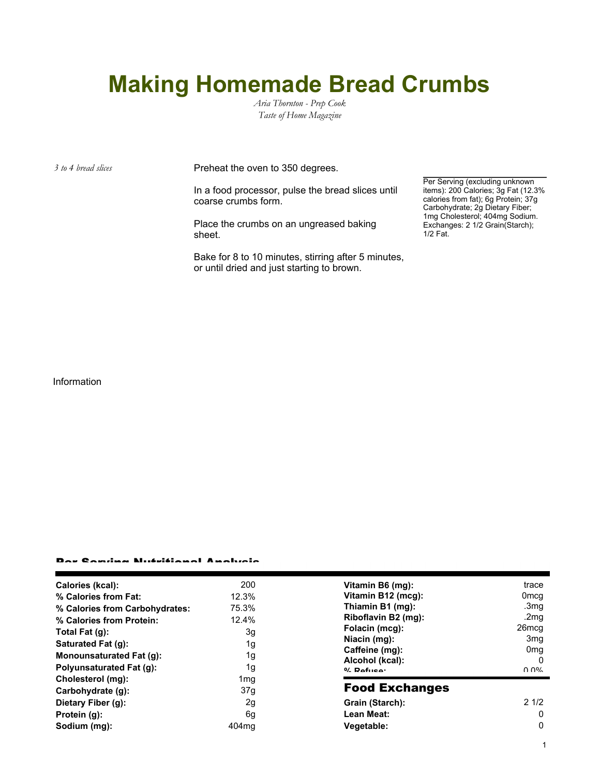## **Making Homemade Bread Crumbs**

*Aria Thornton - Prep Cook Taste of Home Magazine*

*3 to 4 bread slices* Preheat the oven to 350 degrees.

In a food processor, pulse the bread slices until coarse crumbs form.

Place the crumbs on an ungreased baking sheet.

Bake for 8 to 10 minutes, stirring after 5 minutes, or until dried and just starting to brown.

Per Serving (excluding unknown items): 200 Calories; 3g Fat (12.3% calories from fat); 6g Protein; 37g Carbohydrate; 2g Dietary Fiber; 1mg Cholesterol; 404mg Sodium. Exchanges: 2 1/2 Grain(Starch); 1/2 Fat.

Information

## Per Serving Nutritional Analysis

| Calories (kcal):                | 200               | Vitamin B6 (mg):                                    | trace             |
|---------------------------------|-------------------|-----------------------------------------------------|-------------------|
| % Calories from Fat:            | 12.3%             | Vitamin B12 (mcg):                                  | 0 <sub>mcg</sub>  |
| % Calories from Carbohydrates:  | 75.3%             | Thiamin B1 (mg):                                    | .3 <sub>mg</sub>  |
| % Calories from Protein:        | 12.4%             | Riboflavin B2 (mg):                                 | .2mq              |
| Total Fat $(g)$ :               | 3g                | Folacin (mcg):                                      | 26 <sub>mcq</sub> |
| Saturated Fat (g):              | 1g                | Niacin (mg):                                        | 3 <sub>mq</sub>   |
|                                 |                   | Caffeine (mg):<br>Alcohol (kcal):<br>$0/2$ Pofileo: | 0 <sub>mg</sub>   |
| Monounsaturated Fat (g):        | 1g                |                                                     | 0                 |
| <b>Polyunsaturated Fat (g):</b> | 1g                |                                                     | በ በ%              |
| Cholesterol (mg):               | 1 <sub>mg</sub>   |                                                     |                   |
| Carbohydrate (g):               | 37g               | <b>Food Exchanges</b>                               |                   |
| Dietary Fiber (g):              | 2g                | Grain (Starch):                                     | 21/2              |
| Protein (g):                    | 6g                | Lean Meat:                                          | 0                 |
| Sodium (mg):                    | 404 <sub>mq</sub> | Vegetable:                                          | 0                 |